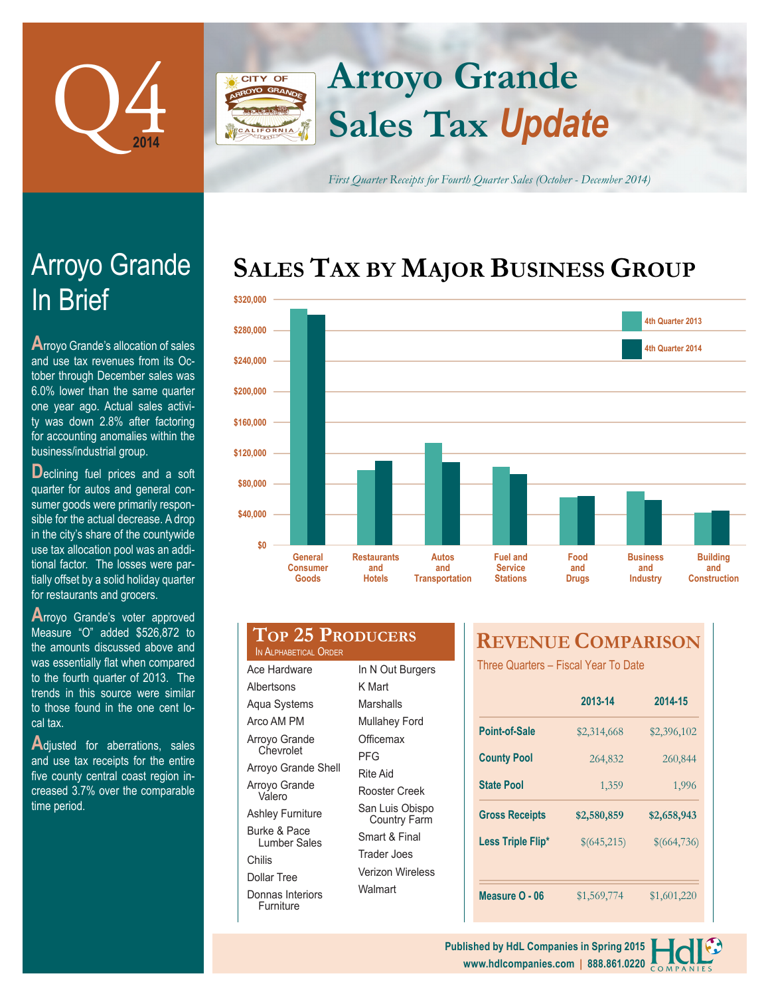

Arroyo Grande

**A**rroyo Grande's allocation of sales and use tax revenues from its October through December sales was 6.0% lower than the same quarter one year ago. Actual sales activity was down 2.8% after factoring for accounting anomalies within the

**D**eclining fuel prices and a soft quarter for autos and general con-

business/industrial group.

In Brief

# **Arroyo Grande** CITY OF **Sales Tax** *Update*

*First Quarter Receipts for Fourth Quarter Sales (October - December 2014)*

# **SALES TAX BY MAJOR BUSINESS GROUP**



| sumer goods were primarily respon-<br>sible for the actual decrease. A drop<br>in the city's share of the countywide | \$40,000           |
|----------------------------------------------------------------------------------------------------------------------|--------------------|
| use tax allocation pool was an addi-                                                                                 | \$0                |
| tional factor. The losses were par-<br>tially offset by a solid holiday quarter<br>for restaurants and grocers.      | )<br>اC            |
| Arroyo Grande's voter approved                                                                                       |                    |
| Measure "O" added \$526,872 to<br>the amounts discussed above and                                                    | Top:<br>IN ALPHABE |
| was essentially flat when compared                                                                                   | Aco Hardy          |

was essentially flat when compared to the fourth quarter of 2013. The trends in this source were similar to those found in the one cent local tax.

**A**djusted for aberrations, sales and use tax receipts for the entire five county central coast region increased 3.7% over the comparable time period.

| TOP 25 PRODUCERS<br>IN ALPHABETICAL ORDER |                |
|-------------------------------------------|----------------|
| Ace Hardware                              | In N Out Burge |

Albertsons Aqua Systems Arco AM PM Arroyo Grande **Chevrolet** Arroyo Grande Shell Arroyo Grande Valero Ashley Furniture Burke & Pace Lumber Sales

Chilis

Dollar Tree

Donnas Interiors Furniture

| In N Out Burgers                       |
|----------------------------------------|
| K Mart                                 |
| Marshalls                              |
| Mullahey Ford                          |
| Officemax                              |
| PFG                                    |
| <b>Rite Aid</b>                        |
| Rooster Creek                          |
| San Luis Obispo<br><b>Country Farm</b> |
| Smart & Final                          |
| Trader Joes                            |
| <b>Verizon Wireless</b>                |
| Walmart                                |

# **REVENUE COMPARISON**

Three Quarters – Fiscal Year To Date

|                       | 2013-14     | 2014-15     |
|-----------------------|-------------|-------------|
| Point-of-Sale         | \$2,314,668 | \$2,396,102 |
| <b>County Pool</b>    | 264,832     | 260,844     |
| <b>State Pool</b>     | 1,359       | 1,996       |
|                       |             |             |
| <b>Gross Receipts</b> | \$2,580,859 | \$2,658,943 |
| Less Triple Flip*     | \$(645,215) | \$(664,736) |
|                       |             |             |